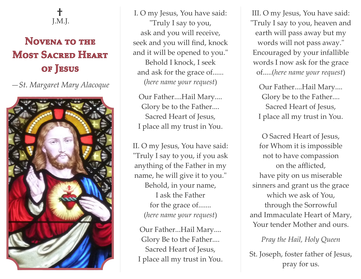

## **NOVENA TO THE MOST SACRED HEART** OF JESUS

*—St. Margaret Mary Alacoque*



I. O my Jesus, You have said: "Truly I say to you, ask and you will receive, seek and you will find, knock and it will be opened to you." Behold I knock, I seek and ask for the grace of...... (*here name your request*)

Our Father....Hail Mary.... Glory be to the Father.... Sacred Heart of Jesus, I place all my trust in You.

II. O my Jesus, You have said: "Truly I say to you, if you ask anything of the Father in my name, he will give it to you." Behold, in your name, I ask the Father for the grace of....... (*here name your request*)

Our Father...Hail Mary.... Glory Be to the Father.... Sacred Heart of Jesus, I place all my trust in You.

III. O my Jesus, You have said: "Truly I say to you, heaven and earth will pass away but my words will not pass away." Encouraged by your infallible words I now ask for the grace of.....(*here name your request*)

Our Father....Hail Mary.... Glory be to the Father.... Sacred Heart of Jesus, I place all my trust in You.

O Sacred Heart of Jesus, for Whom it is impossible not to have compassion on the afflicted, have pity on us miserable sinners and grant us the grace which we ask of You, through the Sorrowful and Immaculate Heart of Mary, Your tender Mother and ours.

*Pray the Hail, Holy Queen* 

St. Joseph, foster father of Jesus, pray for us.